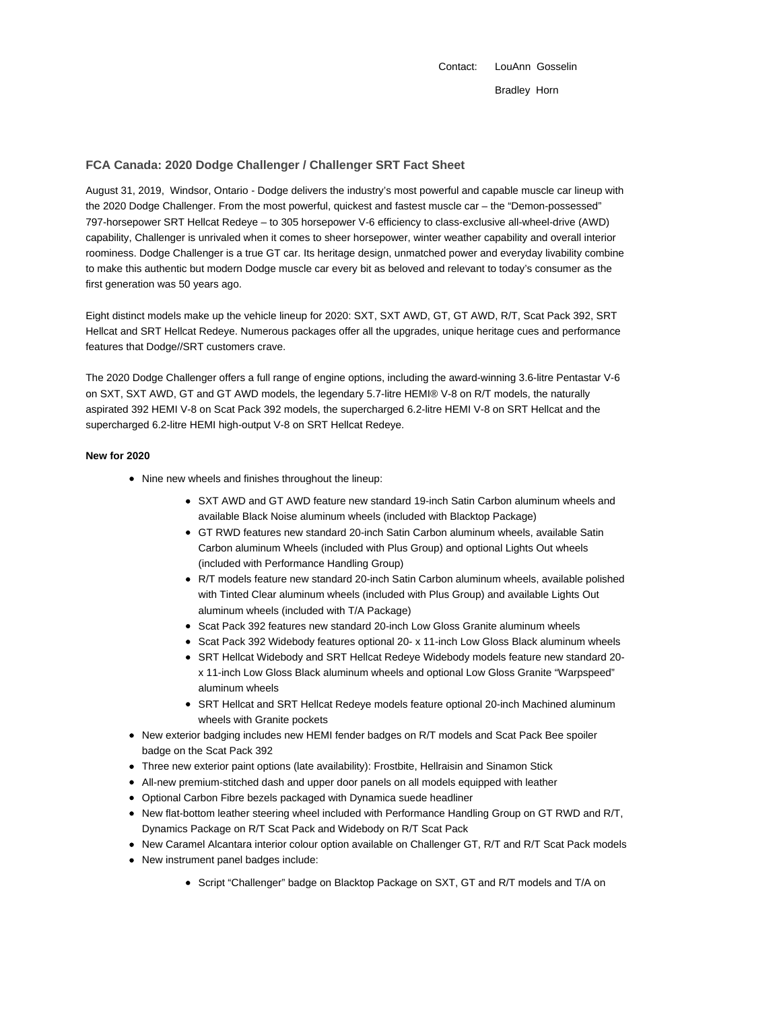Contact: LouAnn Gosselin Bradley Horn

# **FCA Canada: 2020 Dodge Challenger / Challenger SRT Fact Sheet**

August 31, 2019, Windsor, Ontario - Dodge delivers the industry's most powerful and capable muscle car lineup with the 2020 Dodge Challenger. From the most powerful, quickest and fastest muscle car – the "Demon-possessed" 797-horsepower SRT Hellcat Redeye – to 305 horsepower V-6 efficiency to class-exclusive all-wheel-drive (AWD) capability, Challenger is unrivaled when it comes to sheer horsepower, winter weather capability and overall interior roominess. Dodge Challenger is a true GT car. Its heritage design, unmatched power and everyday livability combine to make this authentic but modern Dodge muscle car every bit as beloved and relevant to today's consumer as the first generation was 50 years ago.

Eight distinct models make up the vehicle lineup for 2020: SXT, SXT AWD, GT, GT AWD, R/T, Scat Pack 392, SRT Hellcat and SRT Hellcat Redeye. Numerous packages offer all the upgrades, unique heritage cues and performance features that Dodge//SRT customers crave.

The 2020 Dodge Challenger offers a full range of engine options, including the award-winning 3.6-litre Pentastar V-6 on SXT, SXT AWD, GT and GT AWD models, the legendary 5.7-litre HEMI® V-8 on R/T models, the naturally aspirated 392 HEMI V-8 on Scat Pack 392 models, the supercharged 6.2-litre HEMI V-8 on SRT Hellcat and the supercharged 6.2-litre HEMI high-output V-8 on SRT Hellcat Redeye.

### **New for 2020**

- Nine new wheels and finishes throughout the lineup:
	- SXT AWD and GT AWD feature new standard 19-inch Satin Carbon aluminum wheels and available Black Noise aluminum wheels (included with Blacktop Package)
	- GT RWD features new standard 20-inch Satin Carbon aluminum wheels, available Satin Carbon aluminum Wheels (included with Plus Group) and optional Lights Out wheels (included with Performance Handling Group)
	- R/T models feature new standard 20-inch Satin Carbon aluminum wheels, available polished with Tinted Clear aluminum wheels (included with Plus Group) and available Lights Out aluminum wheels (included with T/A Package)
	- Scat Pack 392 features new standard 20-inch Low Gloss Granite aluminum wheels
	- Scat Pack 392 Widebody features optional 20- x 11-inch Low Gloss Black aluminum wheels
	- SRT Hellcat Widebody and SRT Hellcat Redeye Widebody models feature new standard 20x 11-inch Low Gloss Black aluminum wheels and optional Low Gloss Granite "Warpspeed" aluminum wheels
	- SRT Hellcat and SRT Hellcat Redeye models feature optional 20-inch Machined aluminum wheels with Granite pockets
- New exterior badging includes new HEMI fender badges on R/T models and Scat Pack Bee spoiler badge on the Scat Pack 392
- Three new exterior paint options (late availability): Frostbite, Hellraisin and Sinamon Stick
- All-new premium-stitched dash and upper door panels on all models equipped with leather
- Optional Carbon Fibre bezels packaged with Dynamica suede headliner
- New flat-bottom leather steering wheel included with Performance Handling Group on GT RWD and R/T, Dynamics Package on R/T Scat Pack and Widebody on R/T Scat Pack
- New Caramel Alcantara interior colour option available on Challenger GT, R/T and R/T Scat Pack models
- New instrument panel badges include:
	- Script "Challenger" badge on Blacktop Package on SXT, GT and R/T models and T/A on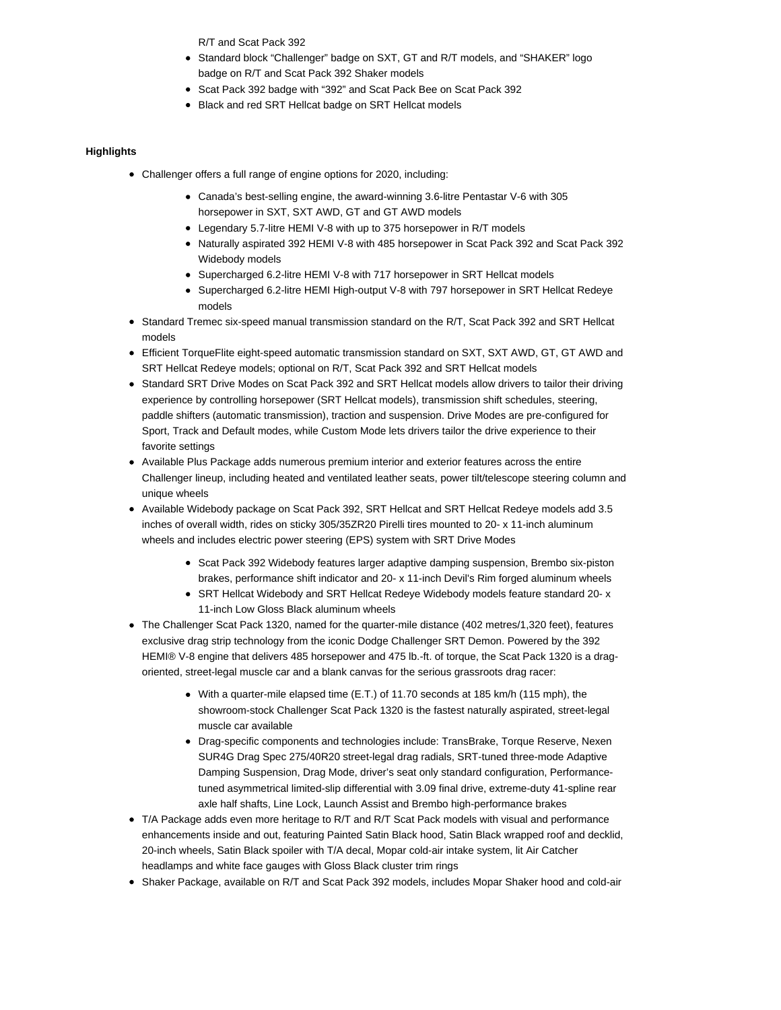R/T and Scat Pack 392

- Standard block "Challenger" badge on SXT, GT and R/T models, and "SHAKER" logo badge on R/T and Scat Pack 392 Shaker models
- Scat Pack 392 badge with "392" and Scat Pack Bee on Scat Pack 392
- Black and red SRT Hellcat badge on SRT Hellcat models

## **Highlights**

- Challenger offers a full range of engine options for 2020, including:
	- Canada's best-selling engine, the award-winning 3.6-litre Pentastar V-6 with 305 horsepower in SXT, SXT AWD, GT and GT AWD models
	- Legendary 5.7-litre HEMI V-8 with up to 375 horsepower in R/T models
	- Naturally aspirated 392 HEMI V-8 with 485 horsepower in Scat Pack 392 and Scat Pack 392 Widebody models
	- Supercharged 6.2-litre HEMI V-8 with 717 horsepower in SRT Hellcat models
	- Supercharged 6.2-litre HEMI High-output V-8 with 797 horsepower in SRT Hellcat Redeye models
- Standard Tremec six-speed manual transmission standard on the R/T, Scat Pack 392 and SRT Hellcat models
- Efficient TorqueFlite eight-speed automatic transmission standard on SXT, SXT AWD, GT, GT AWD and SRT Hellcat Redeye models; optional on R/T, Scat Pack 392 and SRT Hellcat models
- Standard SRT Drive Modes on Scat Pack 392 and SRT Hellcat models allow drivers to tailor their driving experience by controlling horsepower (SRT Hellcat models), transmission shift schedules, steering, paddle shifters (automatic transmission), traction and suspension. Drive Modes are pre-configured for Sport, Track and Default modes, while Custom Mode lets drivers tailor the drive experience to their favorite settings
- Available Plus Package adds numerous premium interior and exterior features across the entire Challenger lineup, including heated and ventilated leather seats, power tilt/telescope steering column and unique wheels
- Available Widebody package on Scat Pack 392, SRT Hellcat and SRT Hellcat Redeye models add 3.5 inches of overall width, rides on sticky 305/35ZR20 Pirelli tires mounted to 20- x 11-inch aluminum wheels and includes electric power steering (EPS) system with SRT Drive Modes
	- Scat Pack 392 Widebody features larger adaptive damping suspension, Brembo six-piston brakes, performance shift indicator and 20- x 11-inch Devil's Rim forged aluminum wheels
	- SRT Hellcat Widebody and SRT Hellcat Redeye Widebody models feature standard 20- x 11-inch Low Gloss Black aluminum wheels
- The Challenger Scat Pack 1320, named for the quarter-mile distance (402 metres/1,320 feet), features exclusive drag strip technology from the iconic Dodge Challenger SRT Demon. Powered by the 392 HEMI® V-8 engine that delivers 485 horsepower and 475 lb.-ft. of torque, the Scat Pack 1320 is a dragoriented, street-legal muscle car and a blank canvas for the serious grassroots drag racer:
	- With a quarter-mile elapsed time (E.T.) of 11.70 seconds at 185 km/h (115 mph), the showroom-stock Challenger Scat Pack 1320 is the fastest naturally aspirated, street-legal muscle car available
	- Drag-specific components and technologies include: TransBrake, Torque Reserve, Nexen SUR4G Drag Spec 275/40R20 street-legal drag radials, SRT-tuned three-mode Adaptive Damping Suspension, Drag Mode, driver's seat only standard configuration, Performancetuned asymmetrical limited-slip differential with 3.09 final drive, extreme-duty 41-spline rear axle half shafts, Line Lock, Launch Assist and Brembo high-performance brakes
- T/A Package adds even more heritage to R/T and R/T Scat Pack models with visual and performance enhancements inside and out, featuring Painted Satin Black hood, Satin Black wrapped roof and decklid, 20-inch wheels, Satin Black spoiler with T/A decal, Mopar cold-air intake system, lit Air Catcher headlamps and white face gauges with Gloss Black cluster trim rings
- Shaker Package, available on R/T and Scat Pack 392 models, includes Mopar Shaker hood and cold-air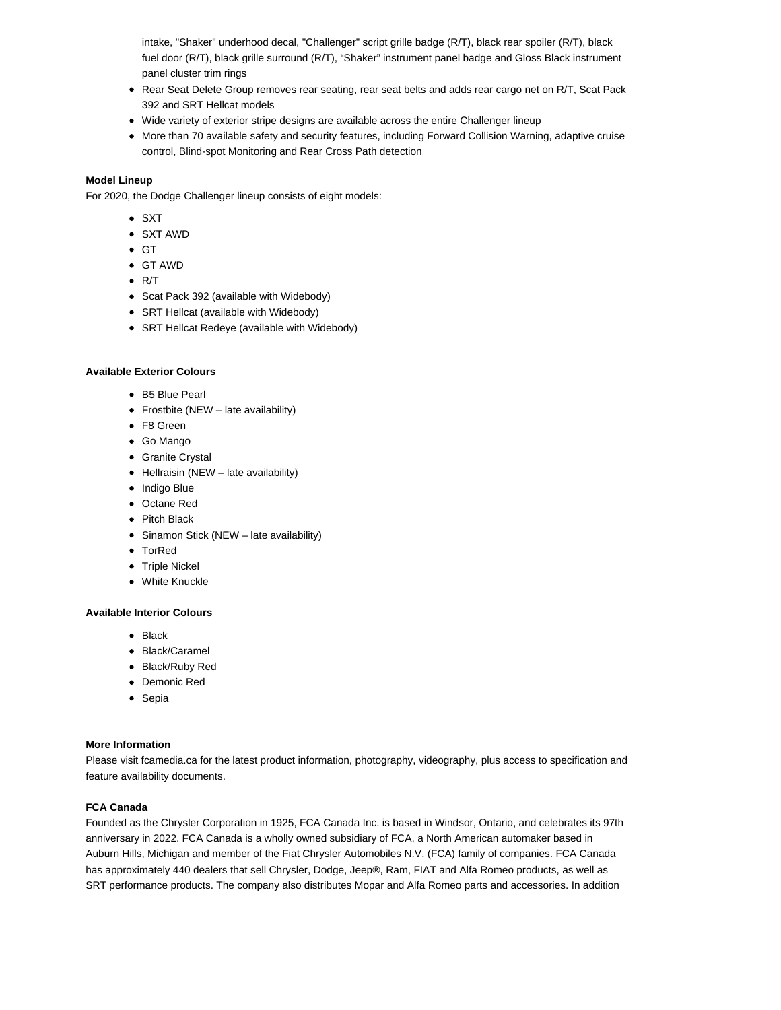intake, "Shaker" underhood decal, "Challenger" script grille badge (R/T), black rear spoiler (R/T), black fuel door (R/T), black grille surround (R/T), "Shaker" instrument panel badge and Gloss Black instrument panel cluster trim rings

- Rear Seat Delete Group removes rear seating, rear seat belts and adds rear cargo net on R/T, Scat Pack 392 and SRT Hellcat models
- Wide variety of exterior stripe designs are available across the entire Challenger lineup
- More than 70 available safety and security features, including Forward Collision Warning, adaptive cruise control, Blind-spot Monitoring and Rear Cross Path detection

## **Model Lineup**

For 2020, the Dodge Challenger lineup consists of eight models:

- SXT
- SXT AWD
- $\bullet$  GT
- GT AWD
- $\bullet$  R/T
- Scat Pack 392 (available with Widebody)
- SRT Hellcat (available with Widebody)
- SRT Hellcat Redeye (available with Widebody)

### **Available Exterior Colours**

- B5 Blue Pearl
- Frostbite (NEW late availability)
- F8 Green
- Go Mango
- Granite Crystal
- $\bullet$  Hellraisin (NEW late availability)
- Indigo Blue
- Octane Red
- Pitch Black
- Sinamon Stick (NEW late availability)
- TorRed
- Triple Nickel
- White Knuckle

### **Available Interior Colours**

- $\bullet$  Black
- Black/Caramel
- Black/Ruby Red
- Demonic Red
- Sepia

# **More Information**

Please visit fcamedia.ca for the latest product information, photography, videography, plus access to specification and feature availability documents.

### **FCA Canada**

Founded as the Chrysler Corporation in 1925, FCA Canada Inc. is based in Windsor, Ontario, and celebrates its 97th anniversary in 2022. FCA Canada is a wholly owned subsidiary of FCA, a North American automaker based in Auburn Hills, Michigan and member of the Fiat Chrysler Automobiles N.V. (FCA) family of companies. FCA Canada has approximately 440 dealers that sell Chrysler, Dodge, Jeep®, Ram, FIAT and Alfa Romeo products, as well as SRT performance products. The company also distributes Mopar and Alfa Romeo parts and accessories. In addition